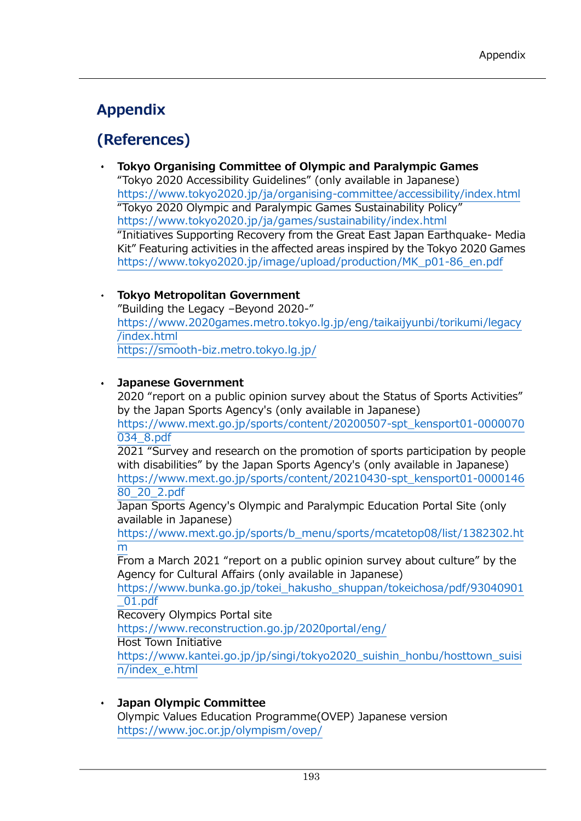# **Appendix**

## (References)

**Tokyo Organising Committee of Olympic and Paralympic Games**  "Tokyo 2020 Accessibility Guidelines" (only available in Japanese) [https://www.tokyo2020.jp/ja/organising](about:blank)-committee/accessibility/index.html "Tokyo 2020 Olympic and Paralympic Games Sustainability Policy" [https://www.tokyo2020.jp/ja/games/sustainability/index.html](about:blank) "Initiatives Supporting Recovery from the Great East Japan Earthquake- Media Kit" Featuring activities in the affected areas inspired by the Tokyo 2020 Games [https://www.tokyo2020.jp/image/upload/production/MK\\_p01](about:blank)-86\_en.pdf

### **Tokyo Metropolitan Government**

"Building the Legacy –Beyond 2020-" [https://www.2020games.metro.tokyo.lg.jp/eng/taikaijyunbi/torikumi/legacy](about:blank) [/index.html](about:blank) https://smooth-[biz.metro.tokyo.lg.jp/](https://smooth-biz.metro.tokyo.lg.jp/)

## **Japanese Government**

2020 "report on a public opinion survey about the Status of Sports Activities" by the Japan Sports Agency's (only available in Japanese)

[https://www.mext.go.jp/sports/content/20200507](about:blank)-spt\_kensport01-0000070 [034\\_8.pdf](about:blank)

2021 "Survey and research on the promotion of sports participation by people with disabilities" by the Japan Sports Agency's (only available in Japanese) [https://www.mext.go.jp/sports/content/20210430](about:blank)-spt\_kensport01-0000146

[80\\_20\\_2.pdf](about:blank) Japan Sports Agency's Olympic and Paralympic Education Portal Site (only available in Japanese)

[https://www.mext.go.jp/sports/b\\_menu/sports/mcatetop08/list/1382302.ht](about:blank) [m](about:blank)

From a March 2021 "report on a public opinion survey about culture" by the Agency for Cultural Affairs (only available in Japanese)

[https://www.bunka.go.jp/tokei\\_hakusho\\_shuppan/tokeichosa/pdf/93040901](about:blank) [\\_01.pdf](about:blank)

Recovery Olympics Portal site

[https://www.reconstruction.go.jp/2020portal/eng/](about:blank)

Host Town Initiative

[https://www.kantei.go.jp/jp/singi/tokyo2020\\_suishin\\_honbu/hosttown\\_suisi](about:blank) [n/index\\_e.html](about:blank)

**Japan Olympic Committee**

Olympic Values Education Programme(OVEP) Japanese version [https://www.joc.or.jp/olympism/ovep/](about:blank)